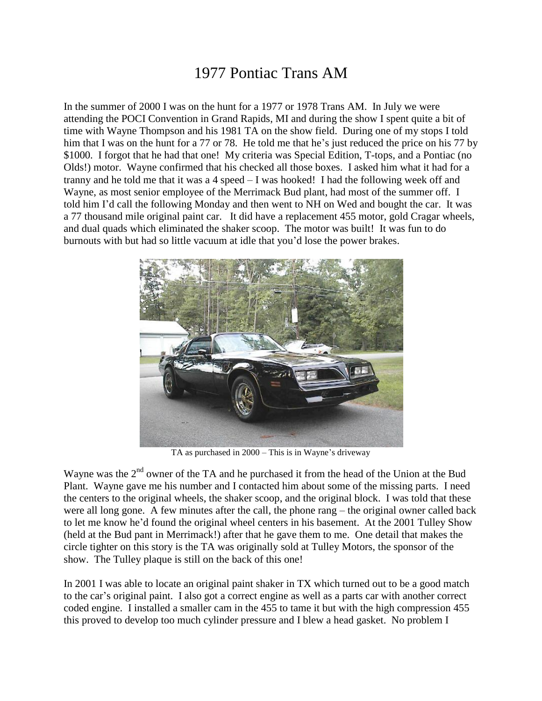## 1977 Pontiac Trans AM

In the summer of 2000 I was on the hunt for a 1977 or 1978 Trans AM. In July we were attending the POCI Convention in Grand Rapids, MI and during the show I spent quite a bit of time with Wayne Thompson and his 1981 TA on the show field. During one of my stops I told him that I was on the hunt for a 77 or 78. He told me that he's just reduced the price on his 77 by \$1000. I forgot that he had that one! My criteria was Special Edition, T-tops, and a Pontiac (no Olds!) motor. Wayne confirmed that his checked all those boxes. I asked him what it had for a tranny and he told me that it was a 4 speed – I was hooked! I had the following week off and Wayne, as most senior employee of the Merrimack Bud plant, had most of the summer off. I told him I'd call the following Monday and then went to NH on Wed and bought the car. It was a 77 thousand mile original paint car. It did have a replacement 455 motor, gold Cragar wheels, and dual quads which eliminated the shaker scoop. The motor was built! It was fun to do burnouts with but had so little vacuum at idle that you'd lose the power brakes.



TA as purchased in 2000 – This is in Wayne's driveway

Wayne was the 2<sup>nd</sup> owner of the TA and he purchased it from the head of the Union at the Bud Plant. Wayne gave me his number and I contacted him about some of the missing parts. I need the centers to the original wheels, the shaker scoop, and the original block. I was told that these were all long gone. A few minutes after the call, the phone rang – the original owner called back to let me know he'd found the original wheel centers in his basement. At the 2001 Tulley Show (held at the Bud pant in Merrimack!) after that he gave them to me. One detail that makes the circle tighter on this story is the TA was originally sold at Tulley Motors, the sponsor of the show. The Tulley plaque is still on the back of this one!

In 2001 I was able to locate an original paint shaker in TX which turned out to be a good match to the car's original paint. I also got a correct engine as well as a parts car with another correct coded engine. I installed a smaller cam in the 455 to tame it but with the high compression 455 this proved to develop too much cylinder pressure and I blew a head gasket. No problem I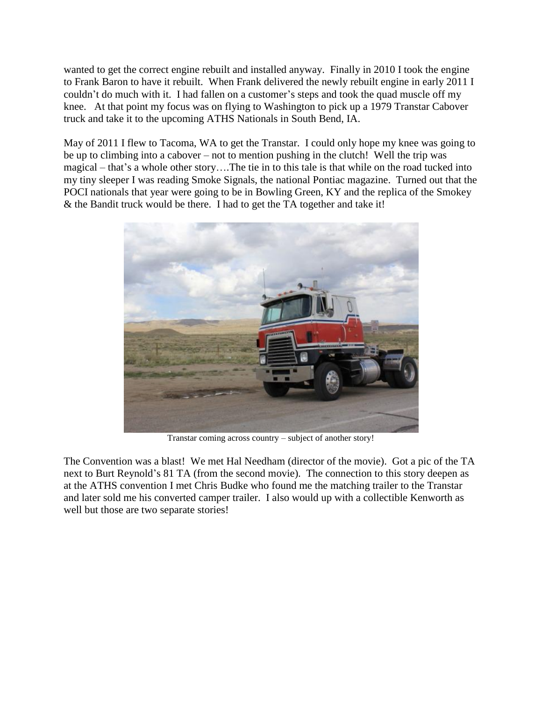wanted to get the correct engine rebuilt and installed anyway. Finally in 2010 I took the engine to Frank Baron to have it rebuilt. When Frank delivered the newly rebuilt engine in early 2011 I couldn't do much with it. I had fallen on a customer's steps and took the quad muscle off my knee. At that point my focus was on flying to Washington to pick up a 1979 Transtar Cabover truck and take it to the upcoming ATHS Nationals in South Bend, IA.

May of 2011 I flew to Tacoma, WA to get the Transtar. I could only hope my knee was going to be up to climbing into a cabover – not to mention pushing in the clutch! Well the trip was magical – that's a whole other story….The tie in to this tale is that while on the road tucked into my tiny sleeper I was reading Smoke Signals, the national Pontiac magazine. Turned out that the POCI nationals that year were going to be in Bowling Green, KY and the replica of the Smokey & the Bandit truck would be there. I had to get the TA together and take it!



Transtar coming across country – subject of another story!

The Convention was a blast! We met Hal Needham (director of the movie). Got a pic of the TA next to Burt Reynold's 81 TA (from the second movie). The connection to this story deepen as at the ATHS convention I met Chris Budke who found me the matching trailer to the Transtar and later sold me his converted camper trailer. I also would up with a collectible Kenworth as well but those are two separate stories!